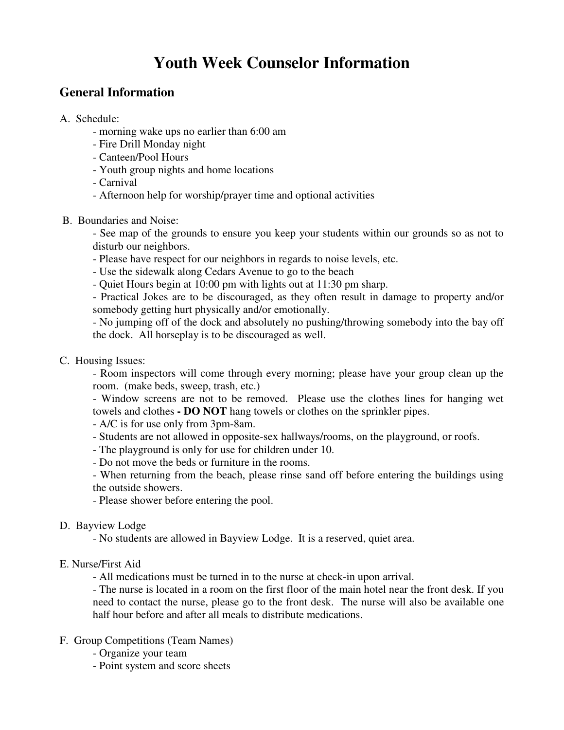# **Youth Week Counselor Information**

## **General Information**

- A. Schedule:
	- morning wake ups no earlier than 6:00 am
	- Fire Drill Monday night
	- Canteen/Pool Hours
	- Youth group nights and home locations
	- Carnival
	- Afternoon help for worship/prayer time and optional activities
- B. Boundaries and Noise:

- See map of the grounds to ensure you keep your students within our grounds so as not to disturb our neighbors.

- Please have respect for our neighbors in regards to noise levels, etc.
- Use the sidewalk along Cedars Avenue to go to the beach
- Quiet Hours begin at 10:00 pm with lights out at 11:30 pm sharp.

- Practical Jokes are to be discouraged, as they often result in damage to property and/or somebody getting hurt physically and/or emotionally.

- No jumping off of the dock and absolutely no pushing/throwing somebody into the bay off the dock. All horseplay is to be discouraged as well.

#### C. Housing Issues:

- Room inspectors will come through every morning; please have your group clean up the room. (make beds, sweep, trash, etc.)

- Window screens are not to be removed. Please use the clothes lines for hanging wet towels and clothes **- DO NOT** hang towels or clothes on the sprinkler pipes.

- A/C is for use only from 3pm-8am.

- Students are not allowed in opposite-sex hallways/rooms, on the playground, or roofs.
- The playground is only for use for children under 10.
- Do not move the beds or furniture in the rooms.

- When returning from the beach, please rinse sand off before entering the buildings using the outside showers.

- Please shower before entering the pool.

#### D. Bayview Lodge

- No students are allowed in Bayview Lodge. It is a reserved, quiet area.

#### E. Nurse/First Aid

- All medications must be turned in to the nurse at check-in upon arrival.

- The nurse is located in a room on the first floor of the main hotel near the front desk. If you need to contact the nurse, please go to the front desk. The nurse will also be available one half hour before and after all meals to distribute medications.

#### F. Group Competitions (Team Names)

- Organize your team
- Point system and score sheets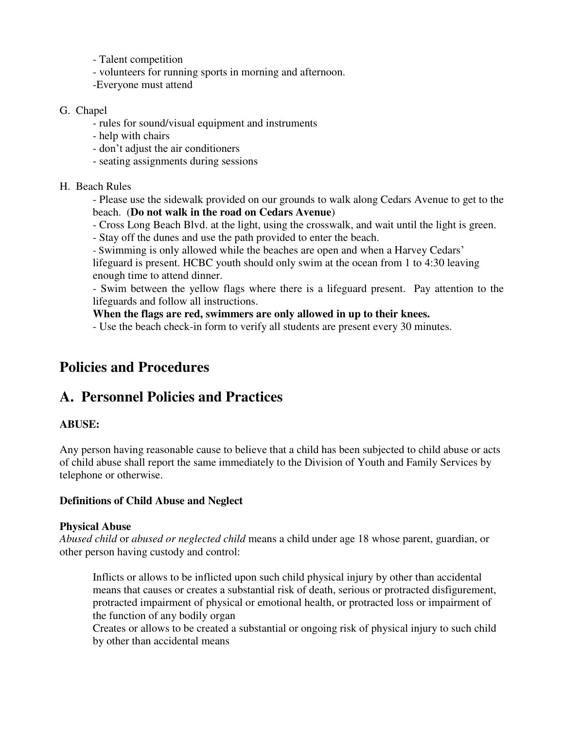- Talent competition
- volunteers for running sports in morning and afternoon.
- -Everyone must attend

#### G. Chapel

- rules for sound/visual equipment and instruments
- help with chairs
- don't adjust the air conditioners
- seating assignments during sessions
- H. Beach Rules

- Please use the sidewalk provided on our grounds to walk along Cedars Avenue to get to the beach. (**Do not walk in the road on Cedars Avenue**)

- Cross Long Beach Blvd. at the light, using the crosswalk, and wait until the light is green.
- Stay off the dunes and use the path provided to enter the beach.
- Swimming is only allowed while the beaches are open and when a Harvey Cedars'

lifeguard is present. HCBC youth should only swim at the ocean from 1 to 4:30 leaving enough time to attend dinner.

- Swim between the yellow flags where there is a lifeguard present. Pay attention to the lifeguards and follow all instructions.

#### **When the flags are red, swimmers are only allowed in up to their knees.**

- Use the beach check-in form to verify all students are present every 30 minutes.

## **Policies and Procedures**

## **A. Personnel Policies and Practices**

#### **ABUSE:**

Any person having reasonable cause to believe that a child has been subjected to child abuse or acts of child abuse shall report the same immediately to the Division of Youth and Family Services by telephone or otherwise.

#### **Definitions of Child Abuse and Neglect**

#### **Physical Abuse**

*Abused child* or *abused or neglected child* means a child under age 18 whose parent, guardian, or other person having custody and control:

Inflicts or allows to be inflicted upon such child physical injury by other than accidental means that causes or creates a substantial risk of death, serious or protracted disfigurement, protracted impairment of physical or emotional health, or protracted loss or impairment of the function of any bodily organ

Creates or allows to be created a substantial or ongoing risk of physical injury to such child by other than accidental means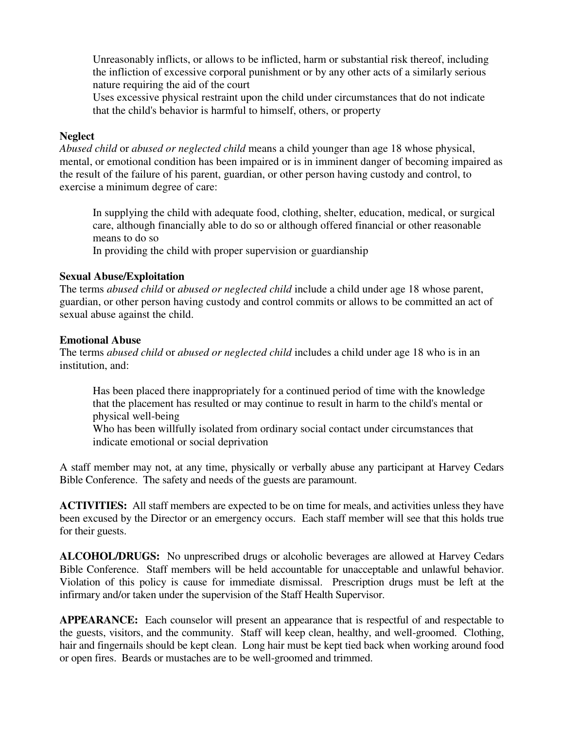Unreasonably inflicts, or allows to be inflicted, harm or substantial risk thereof, including the infliction of excessive corporal punishment or by any other acts of a similarly serious nature requiring the aid of the court

Uses excessive physical restraint upon the child under circumstances that do not indicate that the child's behavior is harmful to himself, others, or property

#### **Neglect**

*Abused child* or *abused or neglected child* means a child younger than age 18 whose physical, mental, or emotional condition has been impaired or is in imminent danger of becoming impaired as the result of the failure of his parent, guardian, or other person having custody and control, to exercise a minimum degree of care:

In supplying the child with adequate food, clothing, shelter, education, medical, or surgical care, although financially able to do so or although offered financial or other reasonable means to do so

In providing the child with proper supervision or guardianship

#### **Sexual Abuse/Exploitation**

The terms *abused child* or *abused or neglected child* include a child under age 18 whose parent, guardian, or other person having custody and control commits or allows to be committed an act of sexual abuse against the child.

#### **Emotional Abuse**

The terms *abused child* or *abused or neglected child* includes a child under age 18 who is in an institution, and:

Has been placed there inappropriately for a continued period of time with the knowledge that the placement has resulted or may continue to result in harm to the child's mental or physical well-being

Who has been willfully isolated from ordinary social contact under circumstances that indicate emotional or social deprivation

A staff member may not, at any time, physically or verbally abuse any participant at Harvey Cedars Bible Conference. The safety and needs of the guests are paramount.

**ACTIVITIES:** All staff members are expected to be on time for meals, and activities unless they have been excused by the Director or an emergency occurs. Each staff member will see that this holds true for their guests.

**ALCOHOL/DRUGS:** No unprescribed drugs or alcoholic beverages are allowed at Harvey Cedars Bible Conference. Staff members will be held accountable for unacceptable and unlawful behavior. Violation of this policy is cause for immediate dismissal. Prescription drugs must be left at the infirmary and/or taken under the supervision of the Staff Health Supervisor.

**APPEARANCE:** Each counselor will present an appearance that is respectful of and respectable to the guests, visitors, and the community. Staff will keep clean, healthy, and well-groomed. Clothing, hair and fingernails should be kept clean. Long hair must be kept tied back when working around food or open fires. Beards or mustaches are to be well-groomed and trimmed.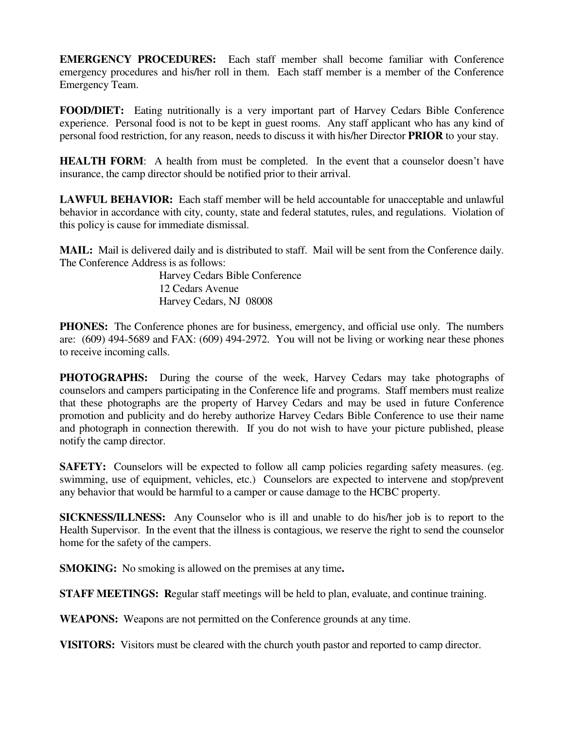**EMERGENCY PROCEDURES:** Each staff member shall become familiar with Conference emergency procedures and his/her roll in them. Each staff member is a member of the Conference Emergency Team.

**FOOD/DIET:** Eating nutritionally is a very important part of Harvey Cedars Bible Conference experience. Personal food is not to be kept in guest rooms. Any staff applicant who has any kind of personal food restriction, for any reason, needs to discuss it with his/her Director **PRIOR** to your stay.

**HEALTH FORM:** A health from must be completed. In the event that a counselor doesn't have insurance, the camp director should be notified prior to their arrival.

**LAWFUL BEHAVIOR:** Each staff member will be held accountable for unacceptable and unlawful behavior in accordance with city, county, state and federal statutes, rules, and regulations. Violation of this policy is cause for immediate dismissal.

**MAIL:** Mail is delivered daily and is distributed to staff. Mail will be sent from the Conference daily. The Conference Address is as follows:

> Harvey Cedars Bible Conference 12 Cedars Avenue Harvey Cedars, NJ 08008

**PHONES:** The Conference phones are for business, emergency, and official use only. The numbers are: (609) 494-5689 and FAX: (609) 494-2972. You will not be living or working near these phones to receive incoming calls.

**PHOTOGRAPHS:** During the course of the week, Harvey Cedars may take photographs of counselors and campers participating in the Conference life and programs. Staff members must realize that these photographs are the property of Harvey Cedars and may be used in future Conference promotion and publicity and do hereby authorize Harvey Cedars Bible Conference to use their name and photograph in connection therewith. If you do not wish to have your picture published, please notify the camp director.

**SAFETY:** Counselors will be expected to follow all camp policies regarding safety measures. (eg. swimming, use of equipment, vehicles, etc.) Counselors are expected to intervene and stop/prevent any behavior that would be harmful to a camper or cause damage to the HCBC property.

**SICKNESS/ILLNESS:** Any Counselor who is ill and unable to do his/her job is to report to the Health Supervisor. In the event that the illness is contagious, we reserve the right to send the counselor home for the safety of the campers.

**SMOKING:** No smoking is allowed on the premises at any time**.**

**STAFF MEETINGS: R**egular staff meetings will be held to plan, evaluate, and continue training.

**WEAPONS:** Weapons are not permitted on the Conference grounds at any time.

**VISITORS:** Visitors must be cleared with the church youth pastor and reported to camp director.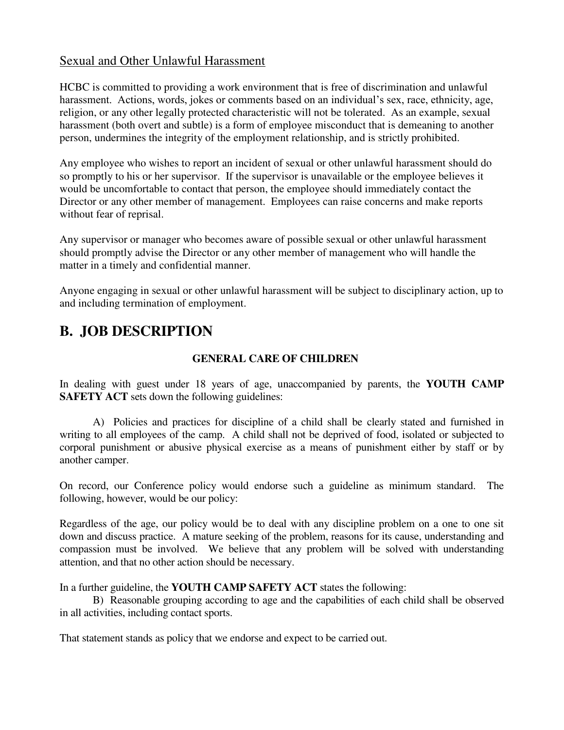## Sexual and Other Unlawful Harassment

HCBC is committed to providing a work environment that is free of discrimination and unlawful harassment. Actions, words, jokes or comments based on an individual's sex, race, ethnicity, age, religion, or any other legally protected characteristic will not be tolerated. As an example, sexual harassment (both overt and subtle) is a form of employee misconduct that is demeaning to another person, undermines the integrity of the employment relationship, and is strictly prohibited.

Any employee who wishes to report an incident of sexual or other unlawful harassment should do so promptly to his or her supervisor. If the supervisor is unavailable or the employee believes it would be uncomfortable to contact that person, the employee should immediately contact the Director or any other member of management. Employees can raise concerns and make reports without fear of reprisal.

Any supervisor or manager who becomes aware of possible sexual or other unlawful harassment should promptly advise the Director or any other member of management who will handle the matter in a timely and confidential manner.

Anyone engaging in sexual or other unlawful harassment will be subject to disciplinary action, up to and including termination of employment.

# **B. JOB DESCRIPTION**

### **GENERAL CARE OF CHILDREN**

In dealing with guest under 18 years of age, unaccompanied by parents, the **YOUTH CAMP SAFETY ACT** sets down the following guidelines:

 A) Policies and practices for discipline of a child shall be clearly stated and furnished in writing to all employees of the camp. A child shall not be deprived of food, isolated or subjected to corporal punishment or abusive physical exercise as a means of punishment either by staff or by another camper.

On record, our Conference policy would endorse such a guideline as minimum standard. The following, however, would be our policy:

Regardless of the age, our policy would be to deal with any discipline problem on a one to one sit down and discuss practice. A mature seeking of the problem, reasons for its cause, understanding and compassion must be involved. We believe that any problem will be solved with understanding attention, and that no other action should be necessary.

In a further guideline, the **YOUTH CAMP SAFETY ACT** states the following:

 B) Reasonable grouping according to age and the capabilities of each child shall be observed in all activities, including contact sports.

That statement stands as policy that we endorse and expect to be carried out.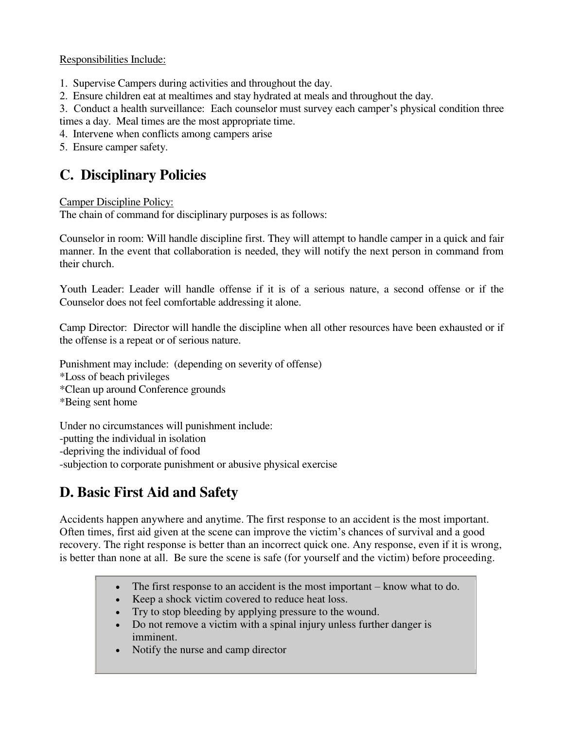#### Responsibilities Include:

- 1. Supervise Campers during activities and throughout the day.
- 2. Ensure children eat at mealtimes and stay hydrated at meals and throughout the day.

3. Conduct a health surveillance: Each counselor must survey each camper's physical condition three times a day. Meal times are the most appropriate time.

- 4. Intervene when conflicts among campers arise
- 5. Ensure camper safety.

## **C. Disciplinary Policies**

#### Camper Discipline Policy:

The chain of command for disciplinary purposes is as follows:

Counselor in room: Will handle discipline first. They will attempt to handle camper in a quick and fair manner. In the event that collaboration is needed, they will notify the next person in command from their church.

Youth Leader: Leader will handle offense if it is of a serious nature, a second offense or if the Counselor does not feel comfortable addressing it alone.

Camp Director: Director will handle the discipline when all other resources have been exhausted or if the offense is a repeat or of serious nature.

Punishment may include: (depending on severity of offense) \*Loss of beach privileges \*Clean up around Conference grounds \*Being sent home Under no circumstances will punishment include:

-putting the individual in isolation -depriving the individual of food -subjection to corporate punishment or abusive physical exercise

# **D. Basic First Aid and Safety**

Accidents happen anywhere and anytime. The first response to an accident is the most important. Often times, first aid given at the scene can improve the victim's chances of survival and a good recovery. The right response is better than an incorrect quick one. Any response, even if it is wrong, is better than none at all. Be sure the scene is safe (for yourself and the victim) before proceeding.

- The first response to an accident is the most important know what to do.
- Keep a shock victim covered to reduce heat loss.
- Try to stop bleeding by applying pressure to the wound.
- Do not remove a victim with a spinal injury unless further danger is imminent.
- Notify the nurse and camp director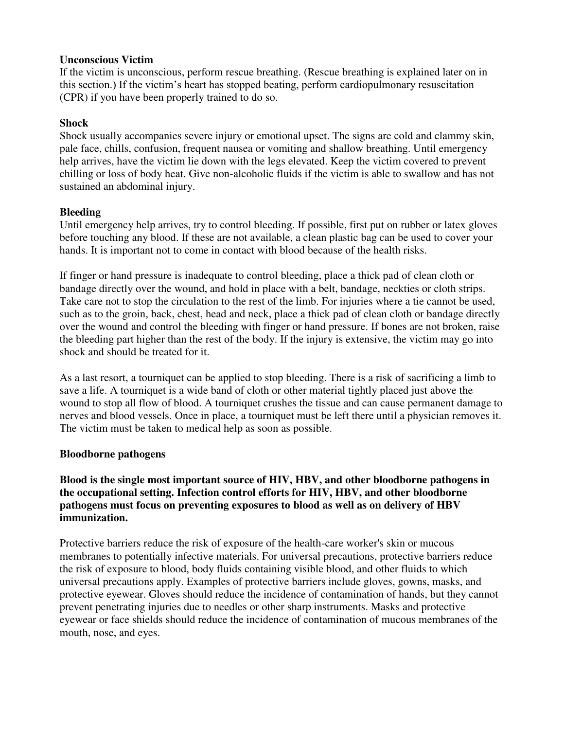#### **Unconscious Victim**

If the victim is unconscious, perform rescue breathing. (Rescue breathing is explained later on in this section.) If the victim's heart has stopped beating, perform cardiopulmonary resuscitation (CPR) if you have been properly trained to do so.

#### **Shock**

Shock usually accompanies severe injury or emotional upset. The signs are cold and clammy skin, pale face, chills, confusion, frequent nausea or vomiting and shallow breathing. Until emergency help arrives, have the victim lie down with the legs elevated. Keep the victim covered to prevent chilling or loss of body heat. Give non-alcoholic fluids if the victim is able to swallow and has not sustained an abdominal injury.

#### **Bleeding**

Until emergency help arrives, try to control bleeding. If possible, first put on rubber or latex gloves before touching any blood. If these are not available, a clean plastic bag can be used to cover your hands. It is important not to come in contact with blood because of the health risks.

If finger or hand pressure is inadequate to control bleeding, place a thick pad of clean cloth or bandage directly over the wound, and hold in place with a belt, bandage, neckties or cloth strips. Take care not to stop the circulation to the rest of the limb. For injuries where a tie cannot be used, such as to the groin, back, chest, head and neck, place a thick pad of clean cloth or bandage directly over the wound and control the bleeding with finger or hand pressure. If bones are not broken, raise the bleeding part higher than the rest of the body. If the injury is extensive, the victim may go into shock and should be treated for it.

As a last resort, a tourniquet can be applied to stop bleeding. There is a risk of sacrificing a limb to save a life. A tourniquet is a wide band of cloth or other material tightly placed just above the wound to stop all flow of blood. A tourniquet crushes the tissue and can cause permanent damage to nerves and blood vessels. Once in place, a tourniquet must be left there until a physician removes it. The victim must be taken to medical help as soon as possible.

#### **Bloodborne pathogens**

#### **Blood is the single most important source of HIV, HBV, and other bloodborne pathogens in the occupational setting. Infection control efforts for HIV, HBV, and other bloodborne pathogens must focus on preventing exposures to blood as well as on delivery of HBV immunization.**

Protective barriers reduce the risk of exposure of the health-care worker's skin or mucous membranes to potentially infective materials. For universal precautions, protective barriers reduce the risk of exposure to blood, body fluids containing visible blood, and other fluids to which universal precautions apply. Examples of protective barriers include gloves, gowns, masks, and protective eyewear. Gloves should reduce the incidence of contamination of hands, but they cannot prevent penetrating injuries due to needles or other sharp instruments. Masks and protective eyewear or face shields should reduce the incidence of contamination of mucous membranes of the mouth, nose, and eyes.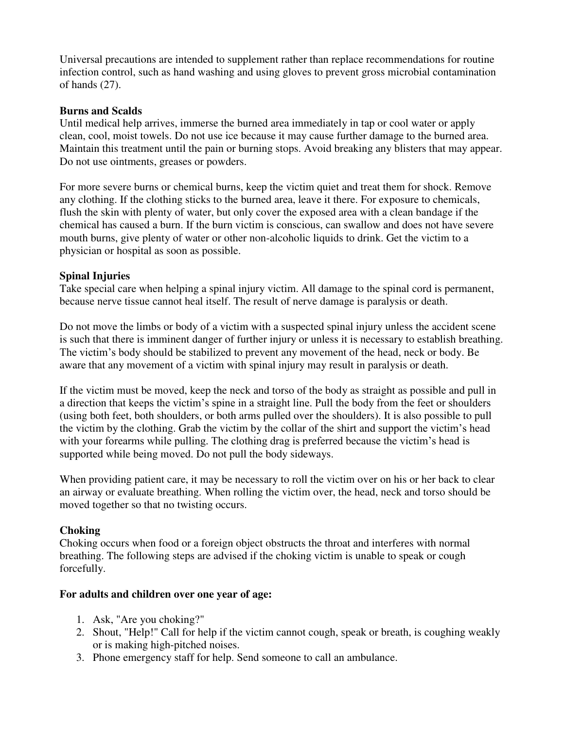Universal precautions are intended to supplement rather than replace recommendations for routine infection control, such as hand washing and using gloves to prevent gross microbial contamination of hands (27).

#### **Burns and Scalds**

Until medical help arrives, immerse the burned area immediately in tap or cool water or apply clean, cool, moist towels. Do not use ice because it may cause further damage to the burned area. Maintain this treatment until the pain or burning stops. Avoid breaking any blisters that may appear. Do not use ointments, greases or powders.

For more severe burns or chemical burns, keep the victim quiet and treat them for shock. Remove any clothing. If the clothing sticks to the burned area, leave it there. For exposure to chemicals, flush the skin with plenty of water, but only cover the exposed area with a clean bandage if the chemical has caused a burn. If the burn victim is conscious, can swallow and does not have severe mouth burns, give plenty of water or other non-alcoholic liquids to drink. Get the victim to a physician or hospital as soon as possible.

#### **Spinal Injuries**

Take special care when helping a spinal injury victim. All damage to the spinal cord is permanent, because nerve tissue cannot heal itself. The result of nerve damage is paralysis or death.

Do not move the limbs or body of a victim with a suspected spinal injury unless the accident scene is such that there is imminent danger of further injury or unless it is necessary to establish breathing. The victim's body should be stabilized to prevent any movement of the head, neck or body. Be aware that any movement of a victim with spinal injury may result in paralysis or death.

If the victim must be moved, keep the neck and torso of the body as straight as possible and pull in a direction that keeps the victim's spine in a straight line. Pull the body from the feet or shoulders (using both feet, both shoulders, or both arms pulled over the shoulders). It is also possible to pull the victim by the clothing. Grab the victim by the collar of the shirt and support the victim's head with your forearms while pulling. The clothing drag is preferred because the victim's head is supported while being moved. Do not pull the body sideways.

When providing patient care, it may be necessary to roll the victim over on his or her back to clear an airway or evaluate breathing. When rolling the victim over, the head, neck and torso should be moved together so that no twisting occurs.

#### **Choking**

Choking occurs when food or a foreign object obstructs the throat and interferes with normal breathing. The following steps are advised if the choking victim is unable to speak or cough forcefully.

#### **For adults and children over one year of age:**

- 1. Ask, "Are you choking?"
- 2. Shout, "Help!" Call for help if the victim cannot cough, speak or breath, is coughing weakly or is making high-pitched noises.
- 3. Phone emergency staff for help. Send someone to call an ambulance.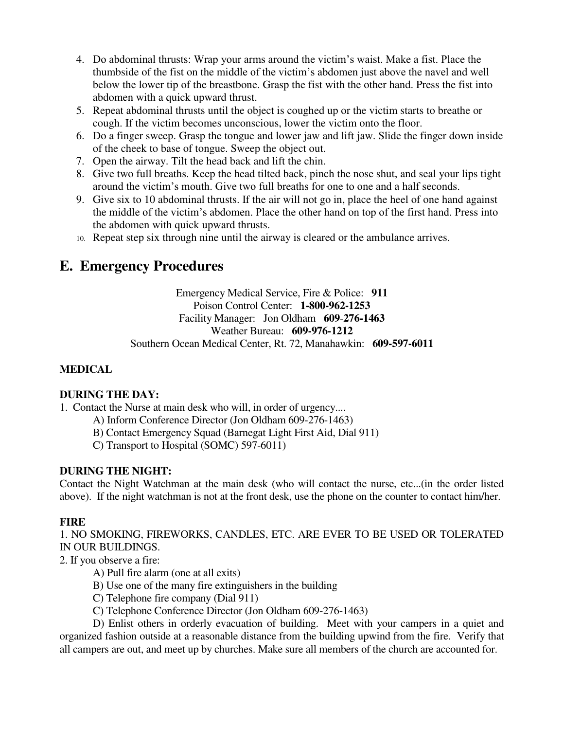- 4. Do abdominal thrusts: Wrap your arms around the victim's waist. Make a fist. Place the thumbside of the fist on the middle of the victim's abdomen just above the navel and well below the lower tip of the breastbone. Grasp the fist with the other hand. Press the fist into abdomen with a quick upward thrust.
- 5. Repeat abdominal thrusts until the object is coughed up or the victim starts to breathe or cough. If the victim becomes unconscious, lower the victim onto the floor.
- 6. Do a finger sweep. Grasp the tongue and lower jaw and lift jaw. Slide the finger down inside of the cheek to base of tongue. Sweep the object out.
- 7. Open the airway. Tilt the head back and lift the chin.
- 8. Give two full breaths. Keep the head tilted back, pinch the nose shut, and seal your lips tight around the victim's mouth. Give two full breaths for one to one and a half seconds.
- 9. Give six to 10 abdominal thrusts. If the air will not go in, place the heel of one hand against the middle of the victim's abdomen. Place the other hand on top of the first hand. Press into the abdomen with quick upward thrusts.
- 10. Repeat step six through nine until the airway is cleared or the ambulance arrives.

## **E. Emergency Procedures**

Emergency Medical Service, Fire & Police: **911** Poison Control Center: **1-800-962-1253** Facility Manager: Jon Oldham **609**-**276-1463** Weather Bureau: **609-976-1212** Southern Ocean Medical Center, Rt. 72, Manahawkin: **609-597-6011**

### **MEDICAL**

#### **DURING THE DAY:**

1. Contact the Nurse at main desk who will, in order of urgency....

- A) Inform Conference Director (Jon Oldham 609-276-1463)
- B) Contact Emergency Squad (Barnegat Light First Aid, Dial 911)
- C) Transport to Hospital (SOMC) 597-6011)

### **DURING THE NIGHT:**

Contact the Night Watchman at the main desk (who will contact the nurse, etc...(in the order listed above). If the night watchman is not at the front desk, use the phone on the counter to contact him/her.

### **FIRE**

1. NO SMOKING, FIREWORKS, CANDLES, ETC. ARE EVER TO BE USED OR TOLERATED IN OUR BUILDINGS.

2. If you observe a fire:

- A) Pull fire alarm (one at all exits)
- B) Use one of the many fire extinguishers in the building
- C) Telephone fire company (Dial 911)
- C) Telephone Conference Director (Jon Oldham 609-276-1463)

 D) Enlist others in orderly evacuation of building. Meet with your campers in a quiet and organized fashion outside at a reasonable distance from the building upwind from the fire. Verify that all campers are out, and meet up by churches. Make sure all members of the church are accounted for.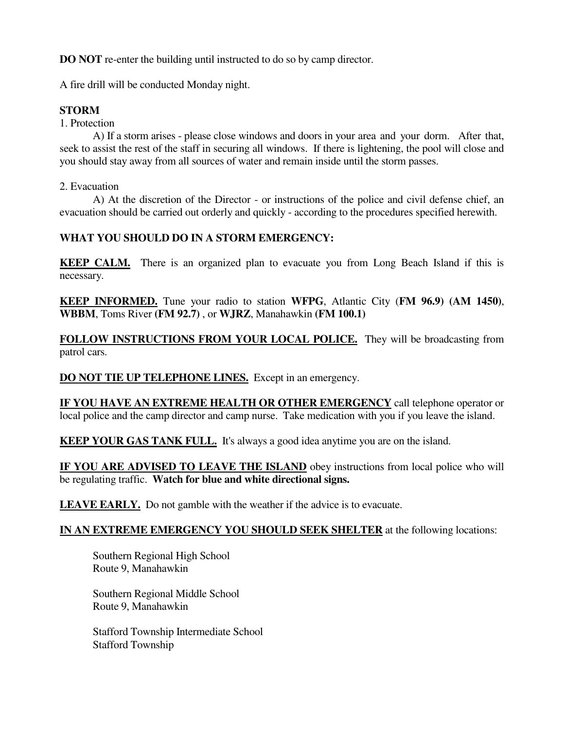**DO NOT** re-enter the building until instructed to do so by camp director.

A fire drill will be conducted Monday night.

#### **STORM**

1. Protection

 A) If a storm arises - please close windows and doors in your area and your dorm. After that, seek to assist the rest of the staff in securing all windows. If there is lightening, the pool will close and you should stay away from all sources of water and remain inside until the storm passes.

2. Evacuation

 A) At the discretion of the Director - or instructions of the police and civil defense chief, an evacuation should be carried out orderly and quickly - according to the procedures specified herewith.

#### **WHAT YOU SHOULD DO IN A STORM EMERGENCY:**

**KEEP CALM.** There is an organized plan to evacuate you from Long Beach Island if this is necessary.

**KEEP INFORMED.** Tune your radio to station **WFPG**, Atlantic City (**FM 96.9) (AM 1450)**, **WBBM**, Toms River **(FM 92.7)** , or **WJRZ**, Manahawkin **(FM 100.1)**

**FOLLOW INSTRUCTIONS FROM YOUR LOCAL POLICE.** They will be broadcasting from patrol cars.

**DO NOT TIE UP TELEPHONE LINES.** Except in an emergency.

**IF YOU HAVE AN EXTREME HEALTH OR OTHER EMERGENCY** call telephone operator or local police and the camp director and camp nurse. Take medication with you if you leave the island.

**KEEP YOUR GAS TANK FULL.** It's always a good idea anytime you are on the island.

**IF YOU ARE ADVISED TO LEAVE THE ISLAND** obey instructions from local police who will be regulating traffic. **Watch for blue and white directional signs.**

LEAVE EARLY. Do not gamble with the weather if the advice is to evacuate.

#### **IN AN EXTREME EMERGENCY YOU SHOULD SEEK SHELTER** at the following locations:

 Southern Regional High School Route 9, Manahawkin

 Southern Regional Middle School Route 9, Manahawkin

 Stafford Township Intermediate School Stafford Township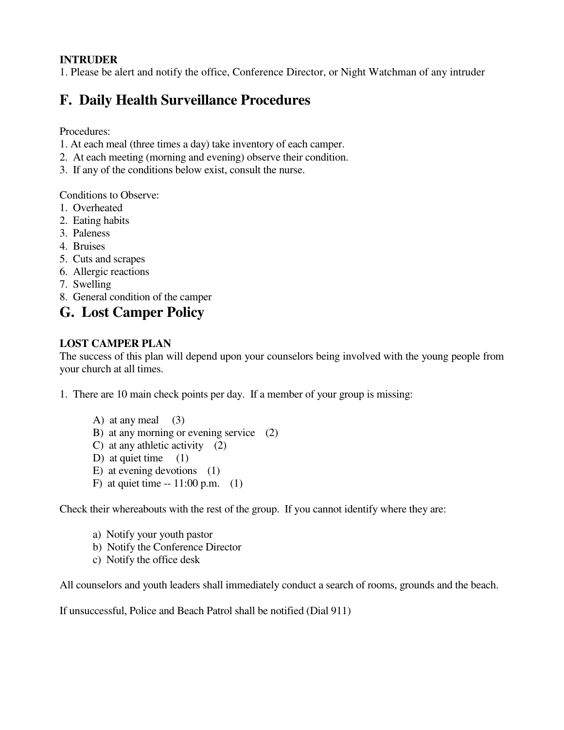### **INTRUDER**

1. Please be alert and notify the office, Conference Director, or Night Watchman of any intruder

## **F. Daily Health Surveillance Procedures**

Procedures:

- 1. At each meal (three times a day) take inventory of each camper.
- 2. At each meeting (morning and evening) observe their condition.
- 3. If any of the conditions below exist, consult the nurse.

Conditions to Observe:

- 1. Overheated
- 2. Eating habits
- 3. Paleness
- 4. Bruises
- 5. Cuts and scrapes
- 6. Allergic reactions
- 7. Swelling
- 8. General condition of the camper

## **G. Lost Camper Policy**

## **LOST CAMPER PLAN**

The success of this plan will depend upon your counselors being involved with the young people from your church at all times.

1. There are 10 main check points per day. If a member of your group is missing:

A) at any meal  $(3)$  B) at any morning or evening service (2) C) at any athletic activity (2) D) at quiet time  $(1)$  E) at evening devotions (1) F) at quiet time  $-11:00$  p.m. (1)

Check their whereabouts with the rest of the group. If you cannot identify where they are:

- a) Notify your youth pastor
- b) Notify the Conference Director
- c) Notify the office desk

All counselors and youth leaders shall immediately conduct a search of rooms, grounds and the beach.

If unsuccessful, Police and Beach Patrol shall be notified (Dial 911)